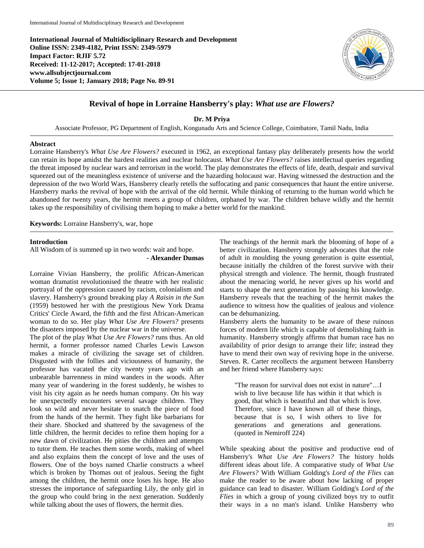**International Journal of Multidisciplinary Research and Development Online ISSN: 2349-4182, Print ISSN: 2349-5979 Impact Factor: RJIF 5.72 Received: 11-12-2017; Accepted: 17-01-2018 www.allsubjectjournal.com Volume 5; Issue 1; January 2018; Page No. 89-91**



## **Revival of hope in Lorraine Hansberry's play:** *What use are Flowers?*

**Dr. M Priya**

Associate Professor, PG Department of English, Kongunadu Arts and Science College, Coimbatore, Tamil Nadu, India

## **Abstract**

Lorraine Hansberry's *What Use Are Flowers?* executed in 1962, an exceptional fantasy play deliberately presents how the world can retain its hope amidst the hardest realities and nuclear holocaust. *What Use Are Flowers?* raises intellectual queries regarding the threat imposed by nuclear wars and terrorism in the world. The play demonstrates the effects of life, death, despair and survival squeezed out of the meaningless existence of universe and the hazarding holocaust war. Having witnessed the destruction and the depression of the two World Wars, Hansberry clearly retells the suffocating and panic consequences that haunt the entire universe. Hansberry marks the revival of hope with the arrival of the old hermit. While thinking of returning to the human world which he abandoned for twenty years, the hermit meets a group of children, orphaned by war. The children behave wildly and the hermit takes up the responsibility of civilising them hoping to make a better world for the mankind.

**Keywords:** Lorraine Hansberry's, war, hope

## **Introduction**

All Wisdom of is summed up in two words: wait and hope. **- Alexander Dumas**

Lorraine Vivian Hansberry, the prolific African-American woman dramatist revolutionised the theatre with her realistic portrayal of the oppression caused by racism, colonialism and slavery. Hansberry's ground breaking play *A Raisin in the Sun*  (1959) bestowed her with the prestigious New York Drama Critics' Circle Award, the fifth and the first African-American woman to do so. Her play *What Use Are Flowers?* presents the disasters imposed by the nuclear war in the universe.

The plot of the play *What Use Are Flowers?* runs thus. An old hermit, a former professor named Charles Lewis Lawson makes a miracle of civilizing the savage set of children. Disgusted with the follies and viciousness of humanity, the professor has vacated the city twenty years ago with an unbearable barrenness in mind wanders in the woods. After many year of wandering in the forest suddenly, he wishes to visit his city again as he needs human company. On his way he unexpectedly encounters several savage children. They look so wild and never hesitate to snatch the piece of food from the hands of the hermit. They fight like barbarians for their share. Shocked and shattered by the savageness of the little children, the hermit decides to refine them hoping for a new dawn of civilization. He pities the children and attempts to tutor them. He teaches them some words, making of wheel and also explains them the concept of love and the uses of flowers. One of the boys named Charlie constructs a wheel which is broken by Thomas out of jealous. Seeing the fight among the children, the hermit once loses his hope. He also stresses the importance of safeguarding Lily, the only girl in the group who could bring in the next generation. Suddenly while talking about the uses of flowers, the hermit dies.

The teachings of the hermit mark the blooming of hope of a better civilization. Hansberry strongly advocates that the role of adult in moulding the young generation is quite essential, because initially the children of the forest survive with their physical strength and violence. The hermit, though frustrated about the menacing world, he never gives up his world and starts to shape the next generation by passing his knowledge. Hansberry reveals that the teaching of the hermit makes the audience to witness how the qualities of jealous and violence can be dehumanizing.

Hansberry alerts the humanity to be aware of these ruinous forces of modern life which is capable of demolishing faith in humanity. Hansberry strongly affirms that human race has no availability of prior design to arrange their life; instead they have to mend their own way of reviving hope in the universe. Steven. R. Carter recollects the argument between Hansberry and her friend where Hansberry says:

"The reason for survival does not exist in nature"…I wish to live because life has within it that which is good, that which is beautiful and that which is love. Therefore, since I have known all of these things, because that is so, I wish others to live for generations and generations and generations. (quoted in Nemiroff 224)

While speaking about the positive and productive end of Hansberry's *What Use Are Flowers?* The history holds different ideas about life. A comparative study of *What Use Are Flowers?* With William Golding's *Lord of the Flies* can make the reader to be aware about how lacking of proper guidance can lead to disaster. William Golding's *Lord of the Flies* in which a group of young civilized boys try to outfit their ways in a no man's island. Unlike Hansberry who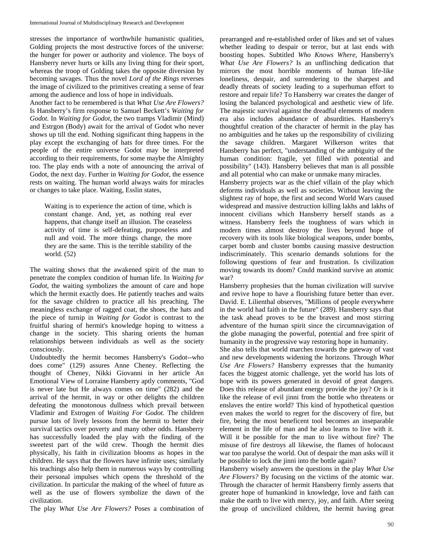stresses the importance of worthwhile humanistic qualities, Golding projects the most destructive forces of the universe: the hunger for power or authority and violence. The boys of Hansberry never hurts or kills any living thing for their sport, whereas the troop of Golding takes the opposite diversion by becoming savages. Thus the novel *Lord of the Rings* reverses the image of civilized to the primitives creating a sense of fear among the audience and loss of hope in individuals.

Another fact to be remembered is that *What Use Are Flowers?* Is Hansberry's firm response to Samuel Beckett's *Waiting for Godot.* In *Waiting for Godot*, the two tramps Vladimir (Mind) and Estrgon (Body) await for the arrival of Godot who never shows up till the end. Nothing significant thing happens in the play except the exchanging of hats for three times. For the people of the entire universe Godot may be interpreted according to their requirements, for some maybe the Almighty too. The play ends with a note of announcing the arrival of Godot, the next day. Further in *Waiting for Godot*, the essence rests on waiting. The human world always waits for miracles or changes to take place. Waiting, Esslin states,

Waiting is to experience the action of time, which is constant change. And, yet, as nothing real ever happens, that change itself an illusion. The ceaseless activity of time is self-defeating, purposeless and null and void. The more things change, the more they are the same. This is the terrible stability of the world. (52)

The waiting shows that the awakened spirit of the man to penetrate the complex condition of human life. In *Waiting for Godot*, the waiting symbolizes the amount of care and hope which the hermit exactly does. He patiently teaches and waits for the savage children to practice all his preaching. The meaningless exchange of ragged coat, the shoes, the hats and the piece of turnip in *Waiting for Godot* is contrast to the fruitful sharing of hermit's knowledge hoping to witness a change in the society. This sharing orients the human relationships between individuals as well as the society consciously.

Undoubtedly the hermit becomes Hansberry's Godot--who does come" (129) assures Anne Cheney. Reflecting the thought of Cheney, Nikki Giovanni in her article An Emotional View of Lorraine Hansberry aptly comments, "God is never late but He always comes on time" (282) and the arrival of the hermit, in way or other delights the children defeating the monotonous dullness which prevail between Vladimir and Estrogen of *Waiting For Godot*. The children pursue lots of lively lessons from the hermit to better their survival tactics over poverty and many other odds. Hansberry has successfully loaded the play with the finding of the sweetest part of the wild crew. Though the hermit dies physically, his faith in civilization blooms as hopes in the children. He says that the flowers have infinite uses; similarly his teachings also help them in numerous ways by controlling their personal impulses which opens the threshold of the civilization. In particular the making of the wheel of future as well as the use of flowers symbolize the dawn of the civilization.

The play *What Use Are Flowers?* Poses a combination of

prearranged and re-established order of likes and set of values whether leading to despair or terror, but at last ends with boosting hopes. Subtitled *Who Knows Where*, Hansberry's *What Use Are Flowers?* Is an unflinching dedication that mirrors the most horrible moments of human life-like loneliness, despair, and surrendering to the sharpest and deadly threats of society leading to a superhuman effort to restore and repair life? To Hansberry war creates the danger of losing the balanced psychological and aesthetic view of life. The majestic survival against the dreadful elements of modern era also includes abundance of absurdities. Hansberry's thoughtful creation of the character of hermit in the play has no ambiguities and he takes up the responsibility of civilizing the savage children. Margaret Wilkerson writes that Hansberry has perfect, "understanding of the ambiguity of the human condition: fragile, yet filled with potential and possibility" (143). Hansberry believes that man is all possible and all potential who can make or unmake many miracles.

Hansberry projects war as the chief villain of the play which deforms individuals as well as societies. Without leaving the slightest ray of hope, the first and second World Wars caused widespread and massive destruction killing lakhs and lakhs of innocent civilians which Hansberry herself stands as a witness. Hansberry feels the toughness of wars which in modern times almost destroy the lives beyond hope of recovery with its tools like biological weapons, under bombs, carpet bomb and cluster bombs causing massive destruction indiscriminately. This scenario demands solutions for the following questions of fear and frustration. Is civilization moving towards its doom? Could mankind survive an atomic war?

Hansberry prophesies that the human civilization will survive and revive hope to have a flourishing future better than ever. David. E. Lilienthal observes, "Millions of people everywhere in the world had faith in the future" (289). Hansberry says that the task ahead proves to be the bravest and most stirring adventure of the human spirit since the circumnavigation of the globe managing the powerful, potential and free spirit of humanity in the progressive way restoring hope in humanity.

She also tells that world marches towards the gateway of vast and new developments widening the horizons. Through *What Use Are Flowers?* Hansberry expresses that the humanity faces the biggest atomic challenge, yet the world has lots of hope with its powers generated in devoid of great dangers. Does this release of abundant energy provide the joy? Or is it like the release of evil jinni from the bottle who threatens or enslaves the entire world? This kind of hypothetical question even makes the world to regret for the discovery of fire, but fire, being the most beneficent tool becomes an inseparable element in the life of man and he also learns to live with it. Will it be possible for the man to live without fire? The misuse of fire destroys all likewise, the flames of holocaust war too paralyse the world. Out of despair the man asks will it be possible to lock the jinni into the bottle again?

Hansberry wisely answers the questions in the play *What Use Are Flowers?* By focusing on the victims of the atomic war. Through the character of hermit Hansberry firmly asserts that greater hope of humankind in knowledge, love and faith can make the earth to live with mercy, joy, and faith. After seeing the group of uncivilized children, the hermit having great